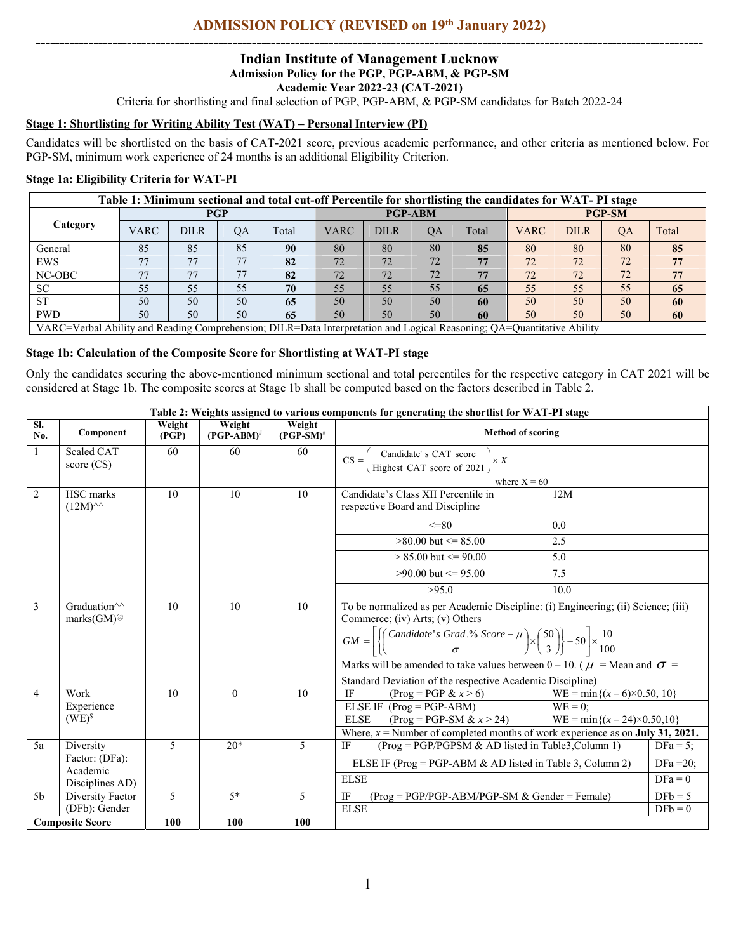# **ADMISSION POLICY (REVISED on 19th January 2022) -------------------------------------------------------------------------------------------------------------------------------------------**

#### **Indian Institute of Management Lucknow Admission Policy for the PGP, PGP-ABM, & PGP-SM Academic Year 2022-23 (CAT-2021)**

Criteria for shortlisting and final selection of PGP, PGP-ABM, & PGP-SM candidates for Batch 2022-24

### **Stage 1: Shortlisting for Writing Ability Test (WAT) – Personal Interview (PI)**

Candidates will be shortlisted on the basis of CAT-2021 score, previous academic performance, and other criteria as mentioned below. For PGP-SM, minimum work experience of 24 months is an additional Eligibility Criterion.

# **Stage 1a: Eligibility Criteria for WAT-PI**

| Table 1: Minimum sectional and total cut-off Percentile for shortlisting the candidates for WAT- PI stage                      |             |             |           |       |                |             |           |               |             |             |    |       |
|--------------------------------------------------------------------------------------------------------------------------------|-------------|-------------|-----------|-------|----------------|-------------|-----------|---------------|-------------|-------------|----|-------|
| Category                                                                                                                       | <b>PGP</b>  |             |           |       | <b>PGP-ABM</b> |             |           | <b>PGP-SM</b> |             |             |    |       |
|                                                                                                                                | <b>VARC</b> | <b>DILR</b> | <b>OA</b> | Total | <b>VARC</b>    | <b>DILR</b> | <b>OA</b> | Total         | <b>VARC</b> | <b>DILR</b> | QA | Total |
| General                                                                                                                        | 85          | 85          | 85        | 90    | 80             | 80          | 80        | 85            | 80          | 80          | 80 | 85    |
| <b>EWS</b>                                                                                                                     |             | 77          | 77        | 82    | 72             | 72          | 72        | 77            | 72          | 72          | 72 | 77    |
| NC-OBC                                                                                                                         | 77          | 77          | 77        | 82    | 72             | 72          | 72        | 77            | 72          | 72          | 72 | 77    |
| <b>SC</b>                                                                                                                      | 55          | 55          | 55        | 70    | 55             | 55          | 55        | 65            | 55          | 55          | 55 | 65    |
| <b>ST</b>                                                                                                                      | 50          | 50          | 50        | 65    | 50             | 50          | 50        | 60            | 50          | 50          | 50 | 60    |
| <b>PWD</b>                                                                                                                     | 50          | 50          | 50        | 65    | 50             | 50          | 50        | 60            | 50          | 50          | 50 | 60    |
| VARC=Verbal Ability and Reading Comprehension: DILR=Data Interpretation and Logical Reasoning: $\Omega$ 4=Ouantitative Ability |             |             |           |       |                |             |           |               |             |             |    |       |

VARC=Verbal Ability and Reading Comprehension; DILR=Data Interpretation and Logical Reasoning; QA=Quantitative Ability

# **Stage 1b: Calculation of the Composite Score for Shortlisting at WAT-PI stage**

Only the candidates securing the above-mentioned minimum sectional and total percentiles for the respective category in CAT 2021 will be considered at Stage 1b. The composite scores at Stage 1b shall be computed based on the factors described in Table 2.

|                | Table 2: Weights assigned to various components for generating the shortlist for WAT-PI stage |                 |                         |                        |                                                                                                                                                             |                                       |             |  |
|----------------|-----------------------------------------------------------------------------------------------|-----------------|-------------------------|------------------------|-------------------------------------------------------------------------------------------------------------------------------------------------------------|---------------------------------------|-------------|--|
| SI.<br>No.     | Component                                                                                     | Weight<br>(PGP) | Weight<br>$(PGP-ABM)^#$ | Weight<br>$(PGP-SM)^*$ | <b>Method of scoring</b>                                                                                                                                    |                                       |             |  |
|                | Scaled CAT<br>score $(CS)$                                                                    | 60              | 60                      | 60                     | $\frac{\text{Condidate's CAT score}}{\text{Higher CAT score of } 2021}$<br>$CS =$<br>$\vert \times X \vert$                                                 |                                       |             |  |
|                |                                                                                               |                 |                         |                        |                                                                                                                                                             |                                       |             |  |
|                |                                                                                               |                 |                         |                        | where $X = 60$                                                                                                                                              |                                       |             |  |
| 2              | HSC marks                                                                                     | 10              | 10                      | 10                     | Candidate's Class XII Percentile in<br>12M                                                                                                                  |                                       |             |  |
|                | $(12M)^{\wedge\wedge}$                                                                        |                 |                         |                        | respective Board and Discipline                                                                                                                             |                                       |             |  |
|                |                                                                                               |                 |                         |                        | $\leq$ =80<br>0.0                                                                                                                                           |                                       |             |  |
|                |                                                                                               |                 |                         |                        | $>80.00$ but $\leq 85.00$<br>2.5                                                                                                                            |                                       |             |  |
|                |                                                                                               |                 |                         |                        | $> 85.00$ but $\leq 90.00$<br>5.0                                                                                                                           |                                       |             |  |
|                |                                                                                               |                 |                         |                        | $>90.00$ but $\leq 95.00$<br>7.5                                                                                                                            |                                       |             |  |
|                |                                                                                               |                 |                         |                        | >95.0<br>10.0                                                                                                                                               |                                       |             |  |
| $\overline{3}$ | Graduation <sup><math>\wedge\wedge</math></sup>                                               | 10              | 10                      | 10                     | To be normalized as per Academic Discipline: (i) Engineering; (ii) Science; (iii)                                                                           |                                       |             |  |
|                | marks $(GM)$ <sup>@</sup><br>Commerce; (iv) Arts; (v) Others                                  |                 |                         |                        |                                                                                                                                                             |                                       |             |  |
|                |                                                                                               |                 |                         |                        | $GM = \left[\left\{\left(\frac{Candidate's Grad.^96 Score - \mu}{\sigma}\right) \times \left(\frac{50}{3}\right)\right\} + 50\right] \times \frac{10}{100}$ |                                       |             |  |
|                |                                                                                               |                 |                         |                        | Marks will be amended to take values between 0 – 10. ( $\mu$ = Mean and $\sigma$ =                                                                          |                                       |             |  |
|                |                                                                                               |                 |                         |                        | Standard Deviation of the respective Academic Discipline)                                                                                                   |                                       |             |  |
| $\overline{4}$ | Work                                                                                          | 10              | $\Omega$                | 10                     | <b>IF</b><br>$(Prog = PGP & x > 6)$                                                                                                                         | $WE = min\{(x – 6) \times 0.50, 10\}$ |             |  |
|                | Experience                                                                                    |                 |                         |                        | ELSE IF $(Prog = PGP-ABM)$<br>$WE = 0$ :                                                                                                                    |                                       |             |  |
|                | $(WE)^{S}$                                                                                    |                 |                         |                        | <b>ELSE</b><br>$(Prog = PGP-SM & x > 24)$                                                                                                                   | $WE = min{(x – 24) \times 0.50,10}$   |             |  |
|                |                                                                                               |                 |                         |                        | Where, $x =$ Number of completed months of work experience as on <b>July 31, 2021.</b>                                                                      |                                       |             |  |
| 5a             | Diversity                                                                                     | 5               | $20*$                   | 5                      | $(Prog = PGP/PGPSM & AD$ listed in Table3, Column 1)<br>IF<br>$DFa = 5$ :                                                                                   |                                       |             |  |
|                | Factor: (DFa):<br>Academic                                                                    |                 |                         |                        | ELSE IF (Prog = PGP-ABM & AD listed in Table 3, Column 2)                                                                                                   |                                       | DFa $=20$ ; |  |
|                | Disciplines AD)                                                                               |                 |                         |                        | <b>ELSE</b>                                                                                                                                                 |                                       | $DFa = 0$   |  |
| 5 <sub>b</sub> | Diversity Factor                                                                              | 5               |                         | 5                      | IF<br>$(Prog = PGP/PGP-ABM/PGP-SM & Gender = Female)$                                                                                                       |                                       | $DFb = 5$   |  |
|                | (DFb): Gender                                                                                 |                 |                         |                        | <b>ELSE</b>                                                                                                                                                 |                                       | $DFb = 0$   |  |
|                | <b>Composite Score</b>                                                                        | 100             | 100                     | 100                    |                                                                                                                                                             |                                       |             |  |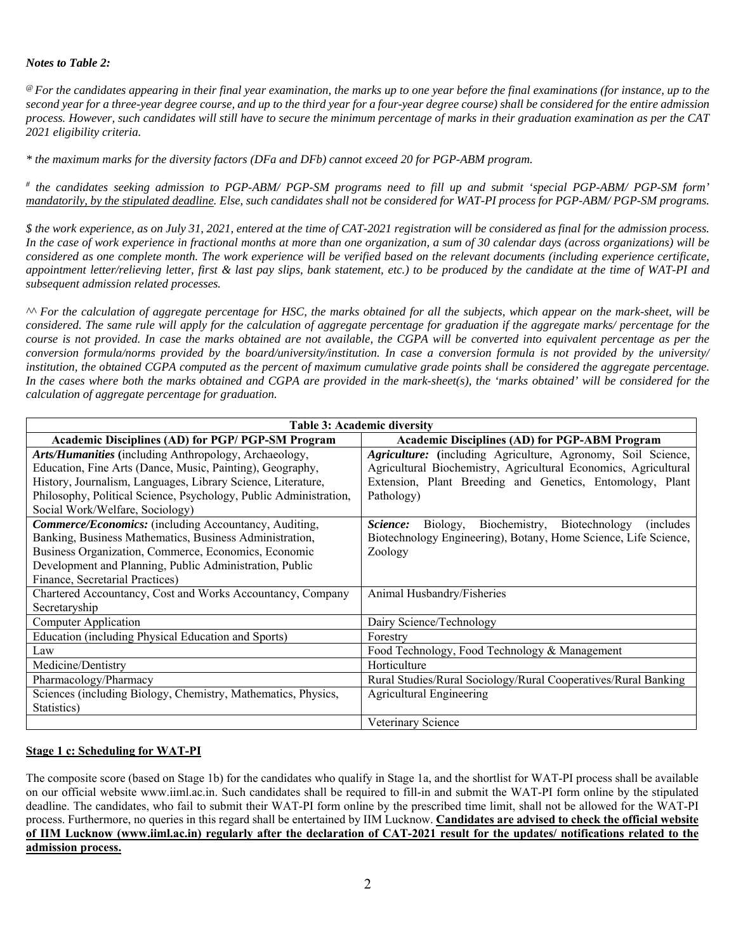# *Notes to Table 2:*

*@ For the candidates appearing in their final year examination, the marks up to one year before the final examinations (for instance, up to the second year for a three-year degree course, and up to the third year for a four-year degree course) shall be considered for the entire admission process. However, such candidates will still have to secure the minimum percentage of marks in their graduation examination as per the CAT 2021 eligibility criteria.*

*\* the maximum marks for the diversity factors (DFa and DFb) cannot exceed 20 for PGP-ABM program.* 

*# the candidates seeking admission to PGP-ABM/ PGP-SM programs need to fill up and submit 'special PGP-ABM/ PGP-SM form' mandatorily, by the stipulated deadline. Else, such candidates shall not be considered for WAT-PI process for PGP-ABM/ PGP-SM programs.* 

*\$ the work experience, as on July 31, 2021, entered at the time of CAT-2021 registration will be considered as final for the admission process. In the case of work experience in fractional months at more than one organization, a sum of 30 calendar days (across organizations) will be considered as one complete month. The work experience will be verified based on the relevant documents (including experience certificate, appointment letter/relieving letter, first & last pay slips, bank statement, etc.) to be produced by the candidate at the time of WAT-PI and subsequent admission related processes.* 

*^^ For the calculation of aggregate percentage for HSC, the marks obtained for all the subjects, which appear on the mark-sheet, will be considered. The same rule will apply for the calculation of aggregate percentage for graduation if the aggregate marks/ percentage for the course is not provided. In case the marks obtained are not available, the CGPA will be converted into equivalent percentage as per the conversion formula/norms provided by the board/university/institution. In case a conversion formula is not provided by the university/ institution, the obtained CGPA computed as the percent of maximum cumulative grade points shall be considered the aggregate percentage. In the cases where both the marks obtained and CGPA are provided in the mark-sheet(s), the 'marks obtained' will be considered for the calculation of aggregate percentage for graduation.* 

| <b>Table 3: Academic diversity</b>                                |                                                                       |  |  |  |  |  |
|-------------------------------------------------------------------|-----------------------------------------------------------------------|--|--|--|--|--|
| Academic Disciplines (AD) for PGP/ PGP-SM Program                 | <b>Academic Disciplines (AD) for PGP-ABM Program</b>                  |  |  |  |  |  |
| Arts/Humanities (including Anthropology, Archaeology,             | Agriculture: (including Agriculture, Agronomy, Soil Science,          |  |  |  |  |  |
| Education, Fine Arts (Dance, Music, Painting), Geography,         | Agricultural Biochemistry, Agricultural Economics, Agricultural       |  |  |  |  |  |
| History, Journalism, Languages, Library Science, Literature,      | Extension, Plant Breeding and Genetics, Entomology, Plant             |  |  |  |  |  |
| Philosophy, Political Science, Psychology, Public Administration, | Pathology)                                                            |  |  |  |  |  |
| Social Work/Welfare, Sociology)                                   |                                                                       |  |  |  |  |  |
| <b>Commerce/Economics:</b> (including Accountancy, Auditing,      | Biology, Biochemistry, Biotechnology<br>Science:<br><i>(includes)</i> |  |  |  |  |  |
| Banking, Business Mathematics, Business Administration,           | Biotechnology Engineering), Botany, Home Science, Life Science,       |  |  |  |  |  |
| Business Organization, Commerce, Economics, Economic              | Zoology                                                               |  |  |  |  |  |
| Development and Planning, Public Administration, Public           |                                                                       |  |  |  |  |  |
| Finance, Secretarial Practices)                                   |                                                                       |  |  |  |  |  |
| Chartered Accountancy, Cost and Works Accountancy, Company        | Animal Husbandry/Fisheries                                            |  |  |  |  |  |
| Secretaryship                                                     |                                                                       |  |  |  |  |  |
| Computer Application                                              | Dairy Science/Technology                                              |  |  |  |  |  |
| Education (including Physical Education and Sports)               | Forestry                                                              |  |  |  |  |  |
| Law                                                               | Food Technology, Food Technology & Management                         |  |  |  |  |  |
| Medicine/Dentistry                                                | Horticulture                                                          |  |  |  |  |  |
| Pharmacology/Pharmacy                                             | Rural Studies/Rural Sociology/Rural Cooperatives/Rural Banking        |  |  |  |  |  |
| Sciences (including Biology, Chemistry, Mathematics, Physics,     | <b>Agricultural Engineering</b>                                       |  |  |  |  |  |
| Statistics)                                                       |                                                                       |  |  |  |  |  |
|                                                                   | Veterinary Science                                                    |  |  |  |  |  |

#### **Stage 1 c: Scheduling for WAT-PI**

The composite score (based on Stage 1b) for the candidates who qualify in Stage 1a, and the shortlist for WAT-PI process shall be available on our official website www.iiml.ac.in. Such candidates shall be required to fill-in and submit the WAT-PI form online by the stipulated deadline. The candidates, who fail to submit their WAT-PI form online by the prescribed time limit, shall not be allowed for the WAT-PI process. Furthermore, no queries in this regard shall be entertained by IIM Lucknow. **Candidates are advised to check the official website of IIM Lucknow (www.iiml.ac.in) regularly after the declaration of CAT-2021 result for the updates/ notifications related to the admission process.**